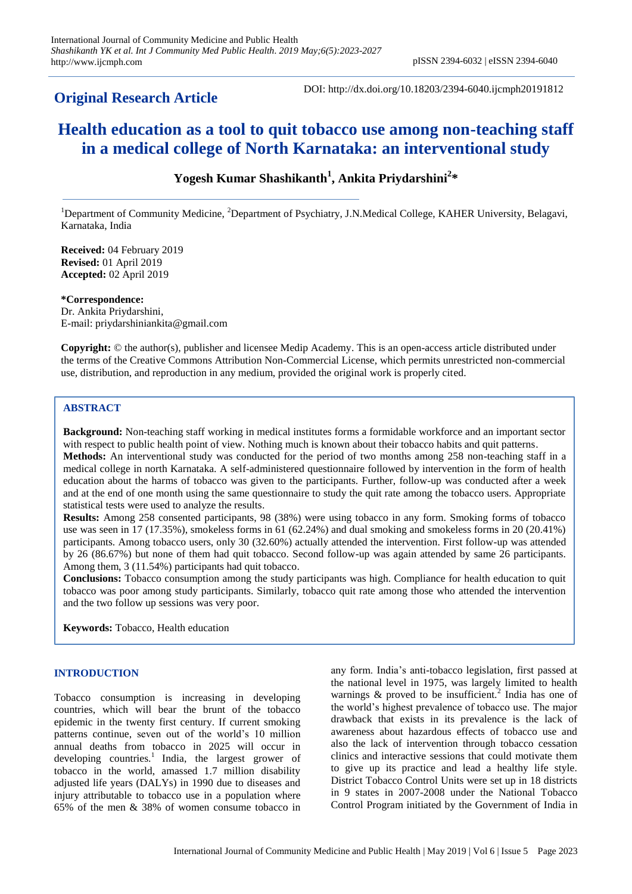# **Original Research Article**

DOI: http://dx.doi.org/10.18203/2394-6040.ijcmph20191812

# **Health education as a tool to quit tobacco use among non-teaching staff in a medical college of North Karnataka: an interventional study**

# **Yogesh Kumar Shashikanth<sup>1</sup> , Ankita Priydarshini<sup>2</sup> \***

<sup>1</sup>Department of Community Medicine, <sup>2</sup>Department of Psychiatry, J.N.Medical College, KAHER University, Belagavi, Karnataka, India

**Received:** 04 February 2019 **Revised:** 01 April 2019 **Accepted:** 02 April 2019

**\*Correspondence:** Dr. Ankita Priydarshini, E-mail: priydarshiniankita@gmail.com

**Copyright:** © the author(s), publisher and licensee Medip Academy. This is an open-access article distributed under the terms of the Creative Commons Attribution Non-Commercial License, which permits unrestricted non-commercial use, distribution, and reproduction in any medium, provided the original work is properly cited.

# **ABSTRACT**

**Background:** Non-teaching staff working in medical institutes forms a formidable workforce and an important sector with respect to public health point of view. Nothing much is known about their tobacco habits and quit patterns. **Methods:** An interventional study was conducted for the period of two months among 258 non-teaching staff in a medical college in north Karnataka. A self-administered questionnaire followed by intervention in the form of health education about the harms of tobacco was given to the participants. Further, follow-up was conducted after a week and at the end of one month using the same questionnaire to study the quit rate among the tobacco users. Appropriate statistical tests were used to analyze the results.

**Results:** Among 258 consented participants, 98 (38%) were using tobacco in any form. Smoking forms of tobacco use was seen in 17 (17.35%), smokeless forms in 61 (62.24%) and dual smoking and smokeless forms in 20 (20.41%) participants. Among tobacco users, only 30 (32.60%) actually attended the intervention. First follow-up was attended by 26 (86.67%) but none of them had quit tobacco. Second follow-up was again attended by same 26 participants. Among them, 3 (11.54%) participants had quit tobacco.

**Conclusions:** Tobacco consumption among the study participants was high. Compliance for health education to quit tobacco was poor among study participants. Similarly, tobacco quit rate among those who attended the intervention and the two follow up sessions was very poor.

**Keywords:** Tobacco, Health education

## **INTRODUCTION**

Tobacco consumption is increasing in developing countries, which will bear the brunt of the tobacco epidemic in the twenty first century. If current smoking patterns continue, seven out of the world's 10 million annual deaths from tobacco in 2025 will occur in developing countries.<sup>1</sup> India, the largest grower of tobacco in the world, amassed 1.7 million disability adjusted life years (DALYs) in 1990 due to diseases and injury attributable to tobacco use in a population where 65% of the men & 38% of women consume tobacco in any form. India's anti-tobacco legislation, first passed at the national level in 1975, was largely limited to health warnings  $\&$  proved to be insufficient.<sup>2</sup> India has one of the world's highest prevalence of tobacco use. The major drawback that exists in its prevalence is the lack of awareness about hazardous effects of tobacco use and also the lack of intervention through tobacco cessation clinics and interactive sessions that could motivate them to give up its practice and lead a healthy life style. District Tobacco Control Units were set up in 18 districts in 9 states in 2007-2008 under the National Tobacco Control Program initiated by the Government of India in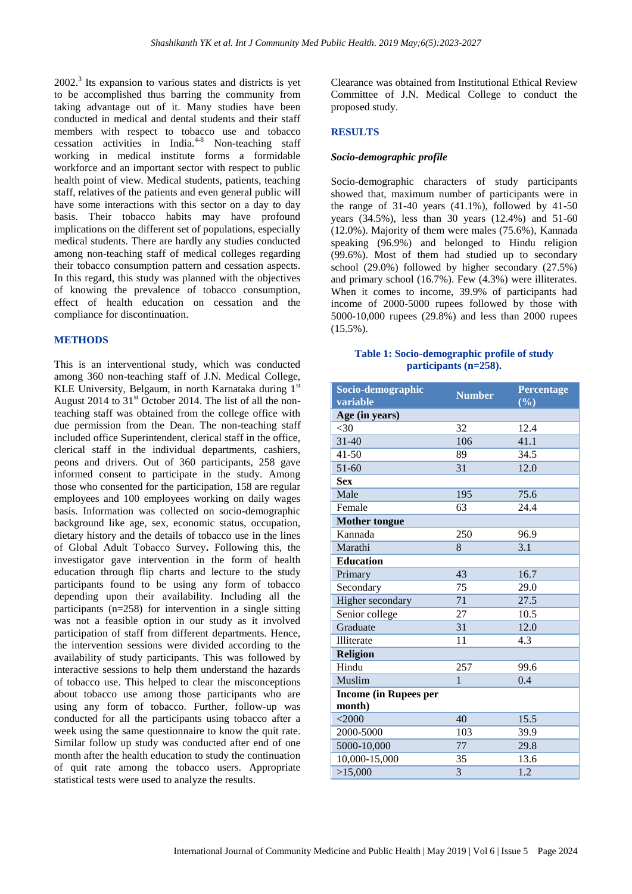2002.<sup>3</sup> Its expansion to various states and districts is yet to be accomplished thus barring the community from taking advantage out of it. Many studies have been conducted in medical and dental students and their staff members with respect to tobacco use and tobacco cessation activities in India.<sup>4-8</sup> Non-teaching staff working in medical institute forms a formidable workforce and an important sector with respect to public health point of view. Medical students, patients, teaching staff, relatives of the patients and even general public will have some interactions with this sector on a day to day basis. Their tobacco habits may have profound implications on the different set of populations, especially medical students. There are hardly any studies conducted among non-teaching staff of medical colleges regarding their tobacco consumption pattern and cessation aspects. In this regard, this study was planned with the objectives of knowing the prevalence of tobacco consumption, effect of health education on cessation and the compliance for discontinuation.

#### **METHODS**

This is an interventional study, which was conducted among 360 non-teaching staff of J.N. Medical College, KLE University, Belgaum, in north Karnataka during 1<sup>st</sup> August 2014 to  $31<sup>st</sup>$  October 2014. The list of all the nonteaching staff was obtained from the college office with due permission from the Dean. The non-teaching staff included office Superintendent, clerical staff in the office, clerical staff in the individual departments, cashiers, peons and drivers. Out of 360 participants, 258 gave informed consent to participate in the study. Among those who consented for the participation, 158 are regular employees and 100 employees working on daily wages basis. Information was collected on socio-demographic background like age, sex, economic status, occupation, dietary history and the details of tobacco use in the lines of Global Adult Tobacco Survey**.** Following this, the investigator gave intervention in the form of health education through flip charts and lecture to the study participants found to be using any form of tobacco depending upon their availability. Including all the participants (n=258) for intervention in a single sitting was not a feasible option in our study as it involved participation of staff from different departments. Hence, the intervention sessions were divided according to the availability of study participants. This was followed by interactive sessions to help them understand the hazards of tobacco use. This helped to clear the misconceptions about tobacco use among those participants who are using any form of tobacco. Further, follow-up was conducted for all the participants using tobacco after a week using the same questionnaire to know the quit rate. Similar follow up study was conducted after end of one month after the health education to study the continuation of quit rate among the tobacco users. Appropriate statistical tests were used to analyze the results.

Clearance was obtained from Institutional Ethical Review Committee of J.N. Medical College to conduct the proposed study.

#### **RESULTS**

#### *Socio-demographic profile*

Socio-demographic characters of study participants showed that, maximum number of participants were in the range of  $31-40$  years  $(41.1\%)$ , followed by  $41-50$ years (34.5%), less than 30 years (12.4%) and 51-60 (12.0%). Majority of them were males (75.6%), Kannada speaking (96.9%) and belonged to Hindu religion (99.6%). Most of them had studied up to secondary school (29.0%) followed by higher secondary (27.5%) and primary school (16.7%). Few (4.3%) were illiterates. When it comes to income, 39.9% of participants had income of 2000-5000 rupees followed by those with 5000-10,000 rupees (29.8%) and less than 2000 rupees (15.5%).

## **Table 1: Socio-demographic profile of study participants (n=258).**

| Socio-demographic            | <b>Number</b> | <b>Percentage</b> |
|------------------------------|---------------|-------------------|
| variable                     |               | (%)               |
| Age (in years)               |               |                   |
| < 30                         | 32            | 12.4              |
| $31 - 40$                    | 106           | 41.1              |
| $41 - 50$                    | 89            | 34.5              |
| $51 - 60$                    | 31            | 12.0              |
| <b>Sex</b>                   |               |                   |
| Male                         | 195           | 75.6              |
| Female                       | 63            | 24.4              |
| <b>Mother tongue</b>         |               |                   |
| Kannada                      | 250           | 96.9              |
| Marathi                      | 8             | 3.1               |
| <b>Education</b>             |               |                   |
| Primary                      | 43            | 16.7              |
| Secondary                    | 75            | 29.0              |
| Higher secondary             | 71            | 27.5              |
| Senior college               | 27            | 10.5              |
| Graduate                     | 31            | 12.0              |
| Illiterate                   | 11            | 4.3               |
| <b>Religion</b>              |               |                   |
| Hindu                        | 257           | 99.6              |
| Muslim                       | $\mathbf{1}$  | 0.4               |
| <b>Income (in Rupees per</b> |               |                   |
| month)                       |               |                   |
| $<$ 2000                     | 40            | 15.5              |
| 2000-5000                    | 103           | 39.9              |
| 5000-10,000                  | 77            | 29.8              |
| 10,000-15,000                | 35            | 13.6              |
| >15,000                      | 3             | 1.2               |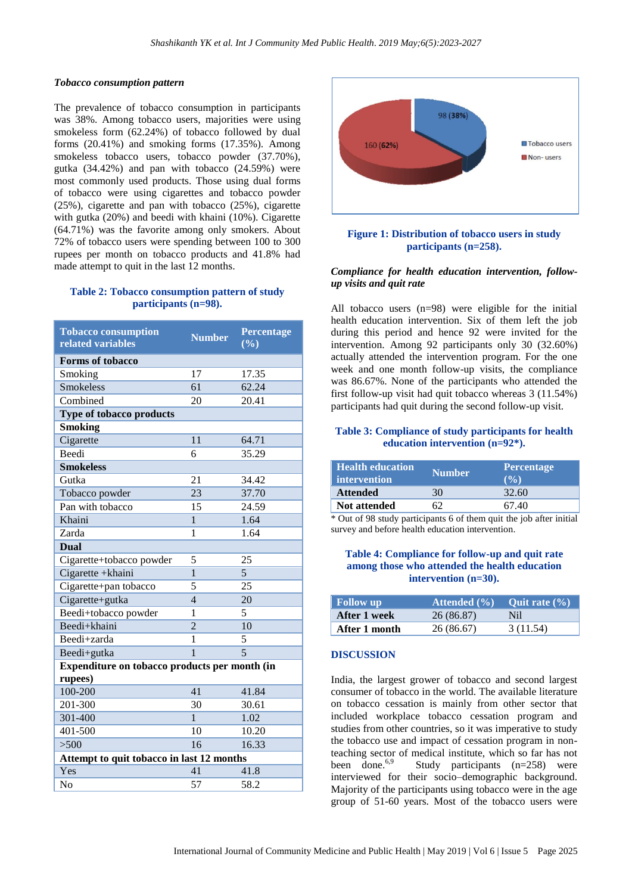#### *Tobacco consumption pattern*

The prevalence of tobacco consumption in participants was 38%. Among tobacco users, majorities were using smokeless form (62.24%) of tobacco followed by dual forms (20.41%) and smoking forms (17.35%). Among smokeless tobacco users, tobacco powder (37.70%), gutka (34.42%) and pan with tobacco (24.59%) were most commonly used products. Those using dual forms of tobacco were using cigarettes and tobacco powder (25%), cigarette and pan with tobacco (25%), cigarette with gutka (20%) and beedi with khaini (10%). Cigarette (64.71%) was the favorite among only smokers. About 72% of tobacco users were spending between 100 to 300 rupees per month on tobacco products and 41.8% had made attempt to quit in the last 12 months.

#### **Table 2: Tobacco consumption pattern of study participants (n=98).**

| <b>Tobacco consumption</b><br>related variables | <b>Number</b>  | Percentage<br>$\overline{(\frac{0}{0})}$ |  |  |
|-------------------------------------------------|----------------|------------------------------------------|--|--|
| <b>Forms of tobacco</b>                         |                |                                          |  |  |
| Smoking                                         | 17             | 17.35                                    |  |  |
| <b>Smokeless</b>                                | 61             | 62.24                                    |  |  |
| Combined                                        | 20             | 20.41                                    |  |  |
| Type of tobacco products                        |                |                                          |  |  |
| <b>Smoking</b>                                  |                |                                          |  |  |
| Cigarette                                       | 11             | 64.71                                    |  |  |
| <b>Beedi</b>                                    | 6              | 35.29                                    |  |  |
| <b>Smokeless</b>                                |                |                                          |  |  |
| Gutka                                           | 21             | 34.42                                    |  |  |
| Tobacco powder                                  | 23             | 37.70                                    |  |  |
| Pan with tobacco                                | 15             | 24.59                                    |  |  |
| Khaini                                          | $\mathbf{1}$   | 1.64                                     |  |  |
| Zarda                                           | 1              | 1.64                                     |  |  |
| <b>Dual</b>                                     |                |                                          |  |  |
| Cigarette+tobacco powder                        | 5              | 25                                       |  |  |
| Cigarette +khaini                               | $\overline{1}$ | $\overline{5}$                           |  |  |
| Cigarette+pan tobacco                           | 5              | 25                                       |  |  |
| Cigarette+gutka                                 | $\overline{4}$ | 20                                       |  |  |
| Beedi+tobacco powder                            | 1              | 5                                        |  |  |
| Beedi+khaini                                    | $\overline{2}$ | 10                                       |  |  |
| Beedi+zarda                                     | 1              | 5                                        |  |  |
| Beedi+gutka                                     | $\mathbf{1}$   | $\overline{5}$                           |  |  |
| Expenditure on tobacco products per month (in   |                |                                          |  |  |
| rupees)                                         |                |                                          |  |  |
| 100-200                                         | 41             | 41.84                                    |  |  |
| 201-300                                         | 30             | 30.61                                    |  |  |
| 301-400                                         | 1              | 1.02                                     |  |  |
| 401-500                                         | 10             | 10.20                                    |  |  |
| >500                                            | 16             | 16.33                                    |  |  |
| Attempt to quit tobacco in last 12 months       |                |                                          |  |  |
| Yes                                             | 41             | 41.8                                     |  |  |
| No                                              | 57             | 58.2                                     |  |  |



#### **Figure 1: Distribution of tobacco users in study participants (n=258).**

## *Compliance for health education intervention, followup visits and quit rate*

All tobacco users (n=98) were eligible for the initial health education intervention. Six of them left the job during this period and hence 92 were invited for the intervention. Among 92 participants only 30 (32.60%) actually attended the intervention program. For the one week and one month follow-up visits, the compliance was 86.67%. None of the participants who attended the first follow-up visit had quit tobacco whereas 3 (11.54%) participants had quit during the second follow-up visit.

#### **Table 3: Compliance of study participants for health education intervention (n=92\*).**

| <b>Health education</b><br>intervention | <b>Number</b> | <b>Percentage</b><br>$\sqrt{0}$ |
|-----------------------------------------|---------------|---------------------------------|
| <b>Attended</b>                         | 30            | 32.60                           |
| <b>Not attended</b>                     |               | 67.40                           |

\* Out of 98 study participants 6 of them quit the job after initial survey and before health education intervention.

## **Table 4: Compliance for follow-up and quit rate among those who attended the health education intervention (n=30).**

| <b>Follow</b> up | Attended (%) | Ouit rate $(\% )$ |
|------------------|--------------|-------------------|
| After 1 week     | 26 (86.87)   | N <sub>il</sub>   |
| After 1 month    | 26 (86.67)   | 3 (11.54)         |

# **DISCUSSION**

India, the largest grower of tobacco and second largest consumer of tobacco in the world. The available literature on tobacco cessation is mainly from other sector that included workplace tobacco cessation program and studies from other countries, so it was imperative to study the tobacco use and impact of cessation program in nonteaching sector of medical institute, which so far has not been done.<sup>6,9</sup> Study participants (n=258) were interviewed for their socio–demographic background. Majority of the participants using tobacco were in the age group of 51-60 years. Most of the tobacco users were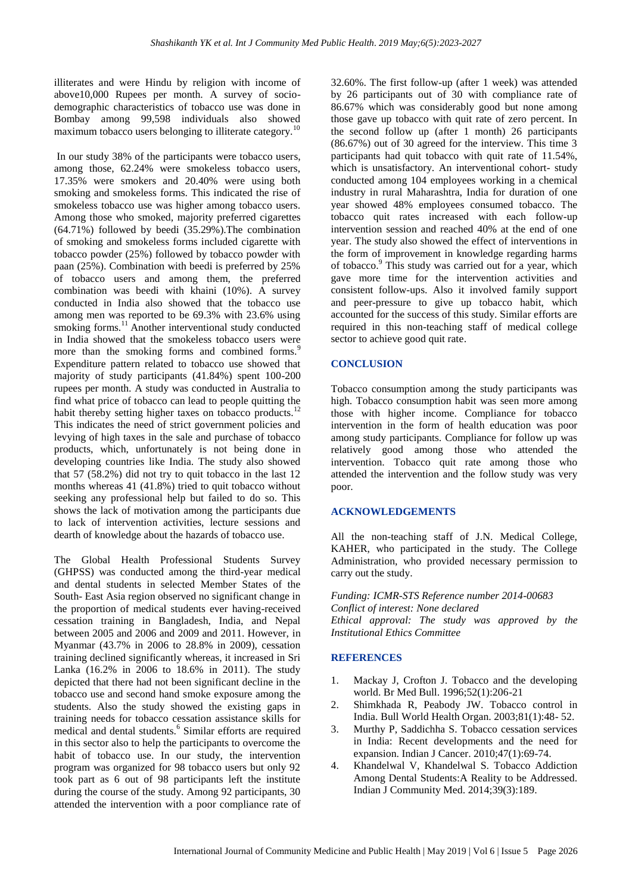illiterates and were Hindu by religion with income of above10,000 Rupees per month. A survey of sociodemographic characteristics of tobacco use was done in Bombay among 99,598 individuals also showed maximum tobacco users belonging to illiterate category.<sup>1</sup>

In our study 38% of the participants were tobacco users, among those, 62.24% were smokeless tobacco users, 17.35% were smokers and 20.40% were using both smoking and smokeless forms. This indicated the rise of smokeless tobacco use was higher among tobacco users. Among those who smoked, majority preferred cigarettes (64.71%) followed by beedi (35.29%).The combination of smoking and smokeless forms included cigarette with tobacco powder (25%) followed by tobacco powder with paan (25%). Combination with beedi is preferred by 25% of tobacco users and among them, the preferred combination was beedi with khaini (10%). A survey conducted in India also showed that the tobacco use among men was reported to be 69.3% with 23.6% using smoking forms.<sup>11</sup> Another interventional study conducted in India showed that the smokeless tobacco users were more than the smoking forms and combined forms.<sup>9</sup> Expenditure pattern related to tobacco use showed that majority of study participants (41.84%) spent 100-200 rupees per month. A study was conducted in Australia to find what price of tobacco can lead to people quitting the habit thereby setting higher taxes on tobacco products.<sup>12</sup> This indicates the need of strict government policies and levying of high taxes in the sale and purchase of tobacco products, which, unfortunately is not being done in developing countries like India. The study also showed that 57 (58.2%) did not try to quit tobacco in the last 12 months whereas 41 (41.8%) tried to quit tobacco without seeking any professional help but failed to do so. This shows the lack of motivation among the participants due to lack of intervention activities, lecture sessions and dearth of knowledge about the hazards of tobacco use.

The Global Health Professional Students Survey (GHPSS) was conducted among the third-year medical and dental students in selected Member States of the South- East Asia region observed no significant change in the proportion of medical students ever having-received cessation training in Bangladesh, India, and Nepal between 2005 and 2006 and 2009 and 2011. However, in Myanmar (43.7% in 2006 to 28.8% in 2009), cessation training declined significantly whereas, it increased in Sri Lanka (16.2% in 2006 to 18.6% in 2011). The study depicted that there had not been significant decline in the tobacco use and second hand smoke exposure among the students. Also the study showed the existing gaps in training needs for tobacco cessation assistance skills for medical and dental students.<sup>6</sup> Similar efforts are required in this sector also to help the participants to overcome the habit of tobacco use. In our study, the intervention program was organized for 98 tobacco users but only 92 took part as 6 out of 98 participants left the institute during the course of the study. Among 92 participants, 30 attended the intervention with a poor compliance rate of 32.60%. The first follow-up (after 1 week) was attended by 26 participants out of 30 with compliance rate of 86.67% which was considerably good but none among those gave up tobacco with quit rate of zero percent. In the second follow up (after 1 month) 26 participants (86.67%) out of 30 agreed for the interview. This time 3 participants had quit tobacco with quit rate of 11.54%, which is unsatisfactory. An interventional cohort- study conducted among 104 employees working in a chemical industry in rural Maharashtra, India for duration of one year showed 48% employees consumed tobacco. The tobacco quit rates increased with each follow-up intervention session and reached 40% at the end of one year. The study also showed the effect of interventions in the form of improvement in knowledge regarding harms of tobacco.<sup>9</sup> This study was carried out for a year, which gave more time for the intervention activities and consistent follow-ups. Also it involved family support and peer-pressure to give up tobacco habit, which accounted for the success of this study. Similar efforts are required in this non-teaching staff of medical college sector to achieve good quit rate.

## **CONCLUSION**

Tobacco consumption among the study participants was high. Tobacco consumption habit was seen more among those with higher income. Compliance for tobacco intervention in the form of health education was poor among study participants. Compliance for follow up was relatively good among those who attended the intervention. Tobacco quit rate among those who attended the intervention and the follow study was very poor.

#### **ACKNOWLEDGEMENTS**

All the non-teaching staff of J.N. Medical College, KAHER, who participated in the study. The College Administration, who provided necessary permission to carry out the study.

*Funding: ICMR-STS Reference number 2014-00683 Conflict of interest: None declared Ethical approval: The study was approved by the Institutional Ethics Committee*

#### **REFERENCES**

- 1. Mackay J, Crofton J. Tobacco and the developing world. Br Med Bull. 1996;52(1):206-21
- 2. Shimkhada R, Peabody JW. Tobacco control in India. Bull World Health Organ. 2003;81(1):48- 52.
- 3. Murthy P, Saddichha S. Tobacco cessation services in India: Recent developments and the need for expansion. Indian J Cancer. 2010;47(1):69-74.
- 4. Khandelwal V, Khandelwal S. Tobacco Addiction Among Dental Students:A Reality to be Addressed. Indian J Community Med. 2014;39(3):189.